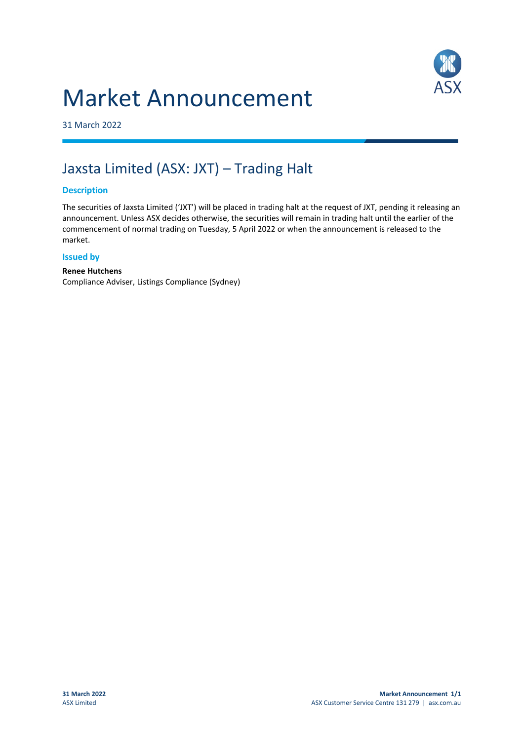## Market Announcement



31 March 2022

### Jaxsta Limited (ASX: JXT) – Trading Halt

#### **Description**

The securities of Jaxsta Limited ('JXT') will be placed in trading halt at the request of JXT, pending it releasing an announcement. Unless ASX decides otherwise, the securities will remain in trading halt until the earlier of the commencement of normal trading on Tuesday, 5 April 2022 or when the announcement is released to the market.

#### **Issued by**

#### **Renee Hutchens**

Compliance Adviser, Listings Compliance (Sydney)